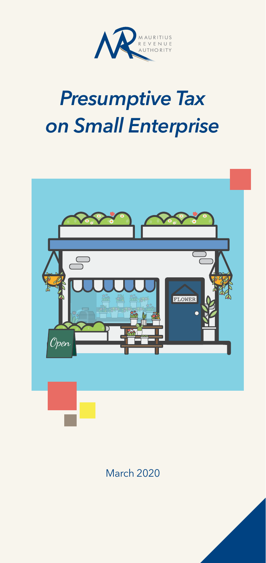

# *Presumptive Tax on Small Enterprise*



March 2020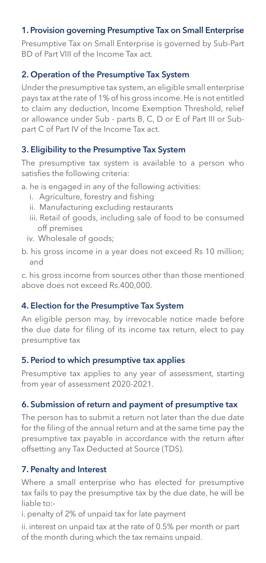# 1. Provision governing Presumptive Tax on Small Enterprise

Presumptive Tax on Small Enterprise is governed by Sub-Part BD of Part VIII of the Income Tax act.

## 2. Operation of the Presumptive Tax System

Under the presumptive tax system, an eligible small enterprise pays tax at the rate of 1% of his gross income. He is not entitled to claim any deduction, Income Exemption Threshold, relief or allowance under Sub - parts B, C, D or E of Part III or Subpart C of Part IV of the Income Tax act.

# 3. Eligibility to the Presumptive Tax System

The presumptive tax system is available to a person who satisfies the following criteria:

a. he is engaged in any of the following activities:

- i. Agriculture, forestry and fishing
- ii. Manufacturing excluding restaurants
- iii. Retail of goods, including sale of food to be consumed off premises
- iv. Wholesale of goods;
- b. his gross income in a year does not exceed Rs 10 million; and

c. his gross income from sources other than those mentioned above does not exceed Rs.400,000.

## 4. Election for the Presumptive Tax System

An eligible person may, by irrevocable notice made before the due date for filing of its income tax return, elect to pay presumptive tax

## 5. Period to which presumptive tax applies

Presumptive tax applies to any year of assessment, starting from year of assessment 2020-2021.

# 6. Submission of return and payment of presumptive tax

The person has to submit a return not later than the due date for the filing of the annual return and at the same time pay the presumptive tax payable in accordance with the return after offsetting any Tax Deducted at Source (TDS).

# 7. Penalty and Interest

Where a small enterprise who has elected for presumptive tax fails to pay the presumptive tax by the due date, he will be liable to:-

i. penalty of 2% of unpaid tax for late payment

ii. interest on unpaid tax at the rate of 0.5% per month or part of the month during which the tax remains unpaid.